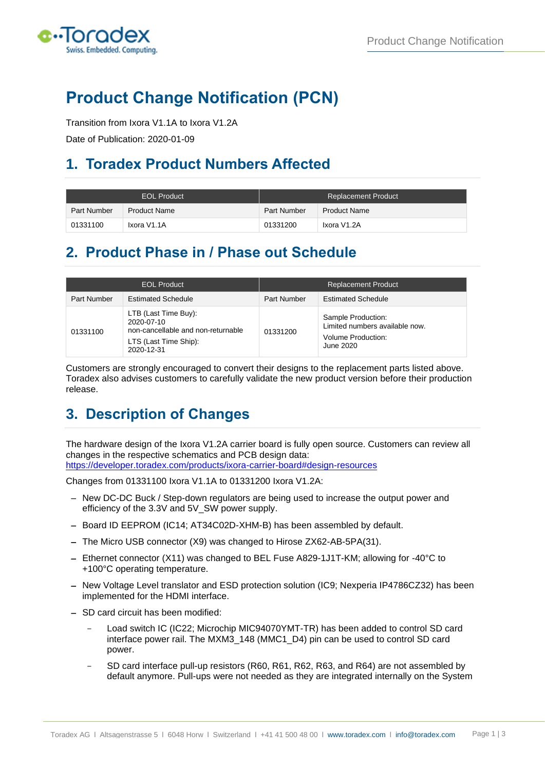

# **Product Change Notification (PCN)**

Transition from Ixora V1.1A to Ixora V1.2A

Date of Publication: 2020-01-09

## **1. Toradex Product Numbers Affected**

| <b>EOL Product</b> |                     | <b>Replacement Product</b> |                     |
|--------------------|---------------------|----------------------------|---------------------|
| Part Number        | <b>Product Name</b> | Part Number                | <b>Product Name</b> |
| 01331100           | Ixora V1.1A         | 01331200                   | Ixora V1.2A         |

## **2. Product Phase in / Phase out Schedule**

| <b>EOL Product</b> |                                                                                                                 | <b>Replacement Product</b> |                                                                                         |
|--------------------|-----------------------------------------------------------------------------------------------------------------|----------------------------|-----------------------------------------------------------------------------------------|
| Part Number        | <b>Estimated Schedule</b>                                                                                       | Part Number                | <b>Estimated Schedule</b>                                                               |
| 01331100           | LTB (Last Time Buy):<br>2020-07-10<br>non-cancellable and non-returnable<br>LTS (Last Time Ship):<br>2020-12-31 | 01331200                   | Sample Production:<br>Limited numbers available now.<br>Volume Production:<br>June 2020 |

Customers are strongly encouraged to convert their designs to the replacement parts listed above. Toradex also advises customers to carefully validate the new product version before their production release.

# **3. Description of Changes**

The hardware design of the Ixora V1.2A carrier board is fully open source. Customers can review all changes in the respective schematics and PCB design data: <https://developer.toradex.com/products/ixora-carrier-board#design-resources>

Changes from 01331100 Ixora V1.1A to 01331200 Ixora V1.2A:

- − New DC-DC Buck / Step-down regulators are being used to increase the output power and efficiency of the 3.3V and 5V\_SW power supply.
- − Board ID EEPROM (IC14; AT34C02D-XHM-B) has been assembled by default.
- − The Micro USB connector (X9) was changed to Hirose ZX62-AB-5PA(31).
- − Ethernet connector (X11) was changed to BEL Fuse A829-1J1T-KM; allowing for -40°C to +100°C operating temperature.
- − New Voltage Level translator and ESD protection solution (IC9; Nexperia IP4786CZ32) has been implemented for the HDMI interface.
- − SD card circuit has been modified:
	- Load switch IC (IC22; Microchip MIC94070YMT-TR) has been added to control SD card interface power rail. The MXM3\_148 (MMC1\_D4) pin can be used to control SD card power.
	- SD card interface pull-up resistors (R60, R61, R62, R63, and R64) are not assembled by default anymore. Pull-ups were not needed as they are integrated internally on the System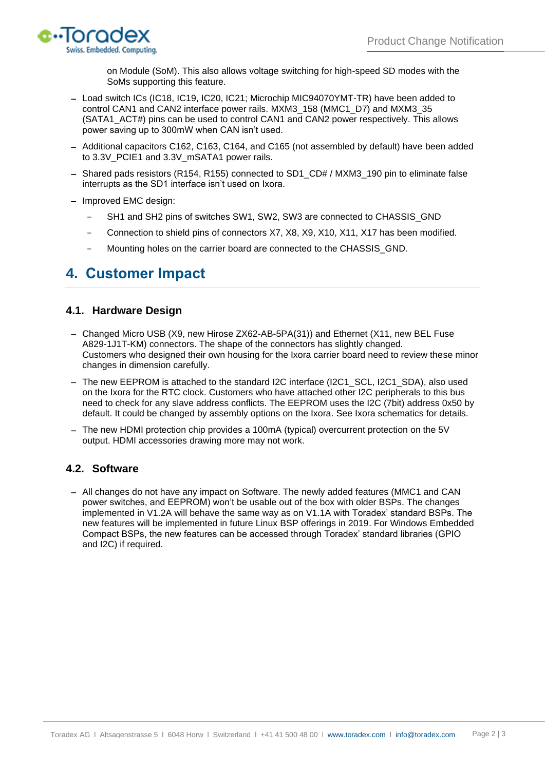

on Module (SoM). This also allows voltage switching for high-speed SD modes with the SoMs supporting this feature.

- − Load switch ICs (IC18, IC19, IC20, IC21; Microchip MIC94070YMT-TR) have been added to control CAN1 and CAN2 interface power rails. MXM3\_158 (MMC1\_D7) and MXM3\_35 (SATA1\_ACT#) pins can be used to control CAN1 and CAN2 power respectively. This allows power saving up to 300mW when CAN isn't used.
- − Additional capacitors C162, C163, C164, and C165 (not assembled by default) have been added to 3.3V PCIE1 and 3.3V mSATA1 power rails.
- − Shared pads resistors (R154, R155) connected to SD1\_CD# / MXM3\_190 pin to eliminate false interrupts as the SD1 interface isn't used on Ixora.
- − Improved EMC design:
	- SH1 and SH2 pins of switches SW1, SW2, SW3 are connected to CHASSIS\_GND
	- Connection to shield pins of connectors X7, X8, X9, X10, X11, X17 has been modified.
	- Mounting holes on the carrier board are connected to the CHASSIS\_GND.

### **4. Customer Impact**

#### **4.1. Hardware Design**

- − Changed Micro USB (X9, new Hirose ZX62-AB-5PA(31)) and Ethernet (X11, new BEL Fuse A829-1J1T-KM) connectors. The shape of the connectors has slightly changed. Customers who designed their own housing for the Ixora carrier board need to review these minor changes in dimension carefully.
- − The new EEPROM is attached to the standard I2C interface (I2C1\_SCL, I2C1\_SDA), also used on the Ixora for the RTC clock. Customers who have attached other I2C peripherals to this bus need to check for any slave address conflicts. The EEPROM uses the I2C (7bit) address 0x50 by default. It could be changed by assembly options on the Ixora. See Ixora schematics for details.
- − The new HDMI protection chip provides a 100mA (typical) overcurrent protection on the 5V output. HDMI accessories drawing more may not work.

#### **4.2. Software**

− All changes do not have any impact on Software. The newly added features (MMC1 and CAN power switches, and EEPROM) won't be usable out of the box with older BSPs. The changes implemented in V1.2A will behave the same way as on V1.1A with Toradex' standard BSPs. The new features will be implemented in future Linux BSP offerings in 2019. For Windows Embedded Compact BSPs, the new features can be accessed through Toradex' standard libraries (GPIO and I2C) if required.